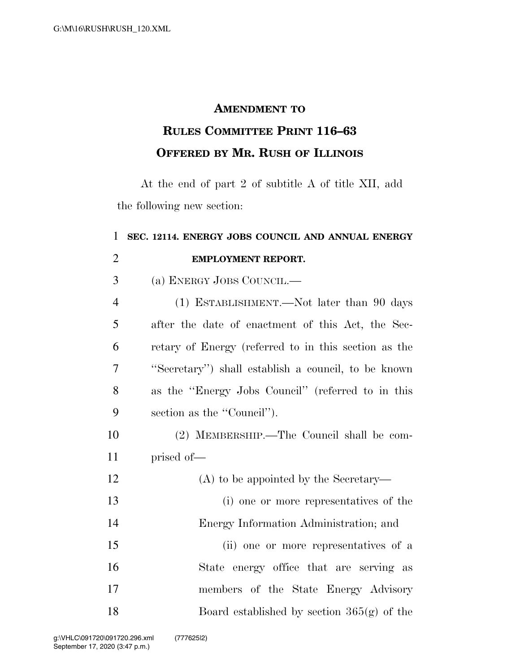## **AMENDMENT TO**

## **RULES COMMITTEE PRINT 116–63 OFFERED BY MR. RUSH OF ILLINOIS**

At the end of part 2 of subtitle A of title XII, add the following new section:

## **SEC. 12114. ENERGY JOBS COUNCIL AND ANNUAL ENERGY EMPLOYMENT REPORT.**  (a) ENERGY JOBS COUNCIL.— (1) ESTABLISHMENT.—Not later than 90 days after the date of enactment of this Act, the Sec- retary of Energy (referred to in this section as the ''Secretary'') shall establish a council, to be known as the ''Energy Jobs Council'' (referred to in this 9 section as the "Council"). (2) MEMBERSHIP.—The Council shall be com- prised of— (A) to be appointed by the Secretary— (i) one or more representatives of the Energy Information Administration; and (ii) one or more representatives of a State energy office that are serving as

 members of the State Energy Advisory Board established by section 365(g) of the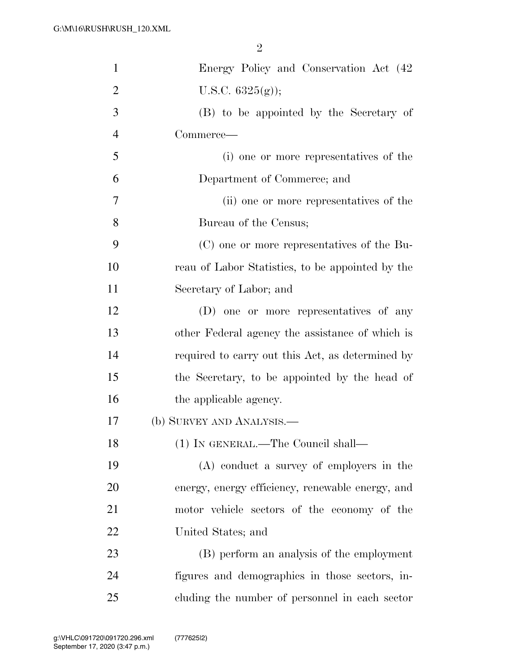| $\mathbf{1}$   | Energy Policy and Conservation Act (42)          |
|----------------|--------------------------------------------------|
| $\overline{2}$ | U.S.C. $6325(g)$ ;                               |
| 3              | (B) to be appointed by the Secretary of          |
| $\overline{4}$ | Commerce—                                        |
| 5              | (i) one or more representatives of the           |
| 6              | Department of Commerce; and                      |
| 7              | (ii) one or more representatives of the          |
| 8              | Bureau of the Census;                            |
| 9              | (C) one or more representatives of the Bu-       |
| 10             | reau of Labor Statistics, to be appointed by the |
| 11             | Secretary of Labor; and                          |
| 12             | (D) one or more representatives of any           |
| 13             | other Federal agency the assistance of which is  |
| 14             | required to carry out this Act, as determined by |
| 15             | the Secretary, to be appointed by the head of    |
| 16             | the applicable agency.                           |
| 17             | (b) SURVEY AND ANALYSIS.—                        |
| 18             | (1) IN GENERAL.—The Council shall—               |
| 19             | (A) conduct a survey of employers in the         |
| 20             | energy, energy efficiency, renewable energy, and |
| 21             | motor vehicle sectors of the economy of the      |
| 22             | United States; and                               |
| 23             | (B) perform an analysis of the employment        |
| 24             | figures and demographics in those sectors, in-   |
| 25             | cluding the number of personnel in each sector   |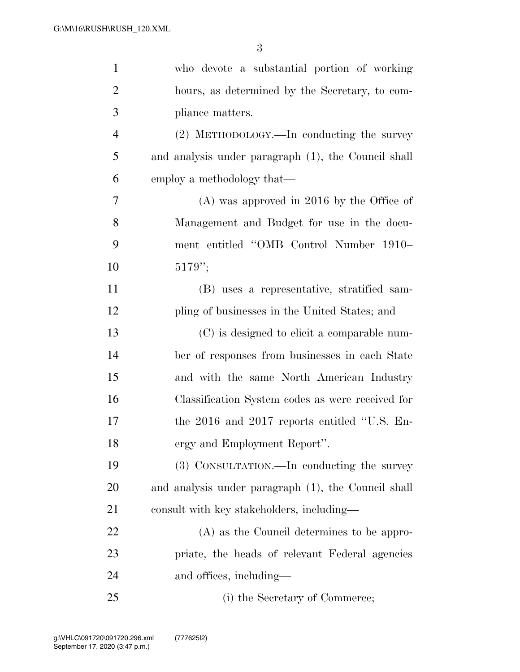| $\mathbf{1}$   | who devote a substantial portion of working         |
|----------------|-----------------------------------------------------|
| $\overline{2}$ | hours, as determined by the Secretary, to com-      |
| 3              | pliance matters.                                    |
| $\overline{4}$ | (2) METHODOLOGY.—In conducting the survey           |
| 5              | and analysis under paragraph (1), the Council shall |
| 6              | employ a methodology that—                          |
| 7              | $(A)$ was approved in 2016 by the Office of         |
| 8              | Management and Budget for use in the docu-          |
| 9              | ment entitled "OMB Control Number 1910-             |
| 10             | 5179'';                                             |
| 11             | (B) uses a representative, stratified sam-          |
| 12             | pling of businesses in the United States; and       |
| 13             | (C) is designed to elicit a comparable num-         |
| 14             | ber of responses from businesses in each State      |
| 15             | and with the same North American Industry           |
| 16             | Classification System codes as were received for    |
| 17             | the 2016 and 2017 reports entitled "U.S. En-        |
| 18             | ergy and Employment Report".                        |
| 19             | (3) CONSULTATION.—In conducting the survey          |
| <b>20</b>      | and analysis under paragraph (1), the Council shall |
| 21             | consult with key stakeholders, including—           |
| <u>22</u>      | (A) as the Council determines to be appro-          |
| 23             | priate, the heads of relevant Federal agencies      |
| 24             | and offices, including—                             |
| 25             | (i) the Secretary of Commerce;                      |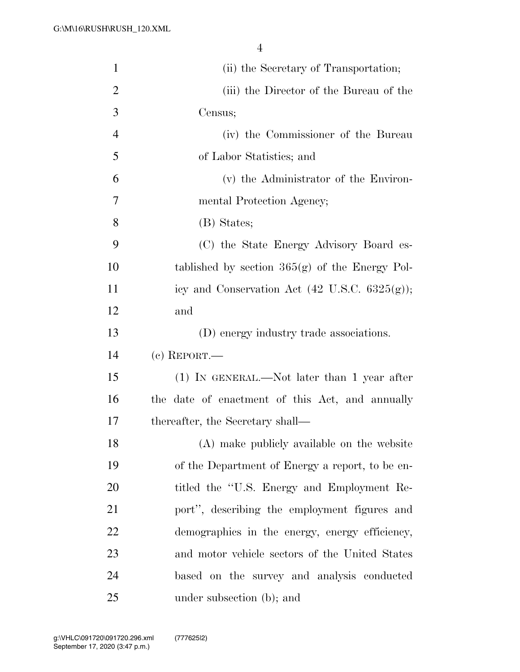| $\mathbf{1}$   | (ii) the Secretary of Transportation;                    |
|----------------|----------------------------------------------------------|
| $\overline{2}$ | (iii) the Director of the Bureau of the                  |
| 3              | Census;                                                  |
| $\overline{4}$ | (iv) the Commissioner of the Bureau                      |
| 5              | of Labor Statistics; and                                 |
| 6              | (v) the Administrator of the Environ-                    |
| $\overline{7}$ | mental Protection Agency;                                |
| 8              | (B) States;                                              |
| 9              | (C) the State Energy Advisory Board es-                  |
| 10             | tablished by section $365(g)$ of the Energy Pol-         |
| 11             | icy and Conservation Act $(42 \text{ U.S.C. } 6325(g));$ |
| 12             | and                                                      |
| 13             | (D) energy industry trade associations.                  |
| 14             | $(c)$ REPORT.—                                           |
| 15             | $(1)$ In GENERAL.—Not later than 1 year after            |
| 16             | the date of enactment of this Act, and annually          |
| 17             | thereafter, the Secretary shall—                         |
| 18             | (A) make publicly available on the website               |
| 19             | of the Department of Energy a report, to be en-          |
| 20             | titled the "U.S. Energy and Employment Re-               |
| 21             | port", describing the employment figures and             |
| 22             | demographics in the energy, energy efficiency,           |
| 23             | and motor vehicle sectors of the United States           |
| 24             | based on the survey and analysis conducted               |
| 25             | under subsection (b); and                                |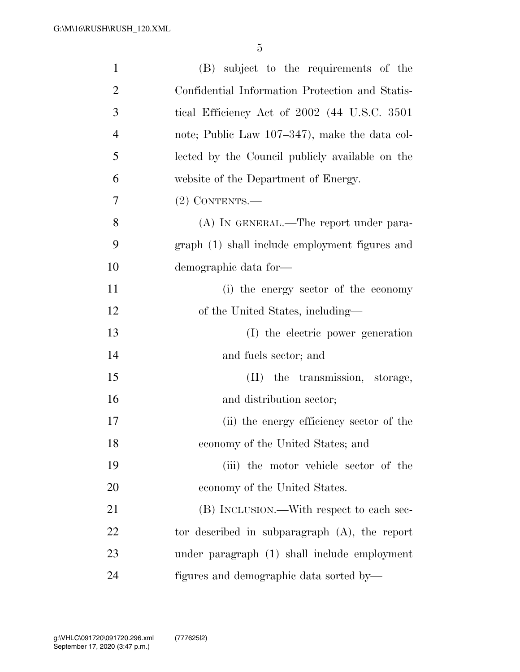| $\mathbf{1}$   | (B) subject to the requirements of the           |
|----------------|--------------------------------------------------|
| $\overline{2}$ | Confidential Information Protection and Statis-  |
| 3              | tical Efficiency Act of 2002 (44 U.S.C. 3501)    |
| $\overline{4}$ | note; Public Law 107–347), make the data col-    |
| 5              | lected by the Council publicly available on the  |
| 6              | website of the Department of Energy.             |
| 7              | $(2)$ CONTENTS.—                                 |
| 8              | (A) IN GENERAL.—The report under para-           |
| 9              | graph (1) shall include employment figures and   |
| 10             | demographic data for-                            |
| 11             | (i) the energy sector of the economy             |
| 12             | of the United States, including—                 |
| 13             | (I) the electric power generation                |
| 14             | and fuels sector; and                            |
| 15             | (II) the transmission, storage,                  |
| 16             | and distribution sector;                         |
| 17             | (ii) the energy efficiency sector of the         |
| 18             | economy of the United States; and                |
| 19             | (iii) the motor vehicle sector of the            |
| 20             | economy of the United States.                    |
| 21             | (B) INCLUSION.—With respect to each sec-         |
| 22             | tor described in subparagraph $(A)$ , the report |
| 23             | under paragraph (1) shall include employment     |
| 24             | figures and demographic data sorted by—          |